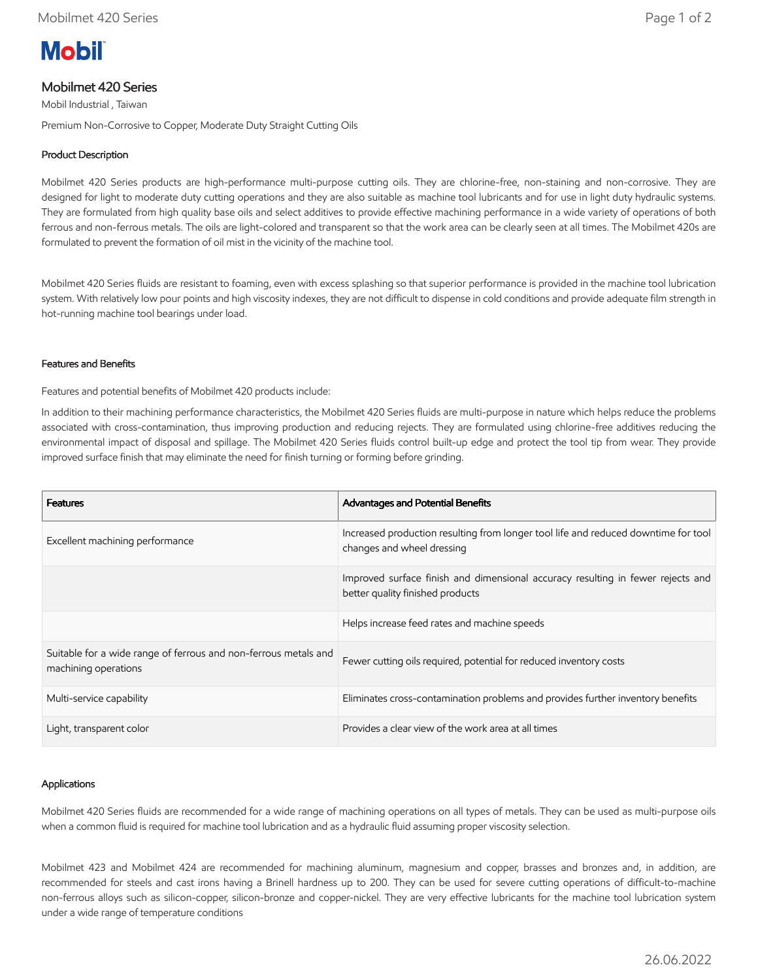# **Mobil**

# Mobilmet 420 Series

Mobil Industrial , Taiwan

Premium Non-Corrosive to Copper, Moderate Duty Straight Cutting Oils

# Product Description

Mobilmet 420 Series products are high-performance multi-purpose cutting oils. They are chlorine-free, non-staining and non-corrosive. They are designed for light to moderate duty cutting operations and they are also suitable as machine tool lubricants and for use in light duty hydraulic systems. They are formulated from high quality base oils and select additives to provide effective machining performance in a wide variety of operations of both ferrous and non-ferrous metals. The oils are light-colored and transparent so that the work area can be clearly seen at all times. The Mobilmet 420s are formulated to prevent the formation of oil mist in the vicinity of the machine tool.

Mobilmet 420 Series fluids are resistant to foaming, even with excess splashing so that superior performance is provided in the machine tool lubrication system. With relatively low pour points and high viscosity indexes, they are not difficult to dispense in cold conditions and provide adequate film strength in hot-running machine tool bearings under load.

## Features and Benefits

Features and potential benefits of Mobilmet 420 products include:

In addition to their machining performance characteristics, the Mobilmet 420 Series fluids are multi-purpose in nature which helps reduce the problems associated with cross-contamination, thus improving production and reducing rejects. They are formulated using chlorine-free additives reducing the environmental impact of disposal and spillage. The Mobilmet 420 Series fluids control built-up edge and protect the tool tip from wear. They provide improved surface finish that may eliminate the need for finish turning or forming before grinding.

| <b>Features</b>                                                                         | <b>Advantages and Potential Benefits</b>                                                                            |
|-----------------------------------------------------------------------------------------|---------------------------------------------------------------------------------------------------------------------|
| Excellent machining performance                                                         | Increased production resulting from longer tool life and reduced downtime for tool<br>changes and wheel dressing    |
|                                                                                         | Improved surface finish and dimensional accuracy resulting in fewer rejects and<br>better quality finished products |
|                                                                                         | Helps increase feed rates and machine speeds                                                                        |
| Suitable for a wide range of ferrous and non-ferrous metals and<br>machining operations | Fewer cutting oils required, potential for reduced inventory costs                                                  |
| Multi-service capability                                                                | Eliminates cross-contamination problems and provides further inventory benefits                                     |
| Light, transparent color                                                                | Provides a clear view of the work area at all times                                                                 |

## Applications

Mobilmet 420 Series fluids are recommended for a wide range of machining operations on all types of metals. They can be used as multi-purpose oils when a common fluid is required for machine tool lubrication and as a hydraulic fluid assuming proper viscosity selection.

Mobilmet 423 and Mobilmet 424 are recommended for machining aluminum, magnesium and copper, brasses and bronzes and, in addition, are recommended for steels and cast irons having a Brinell hardness up to 200. They can be used for severe cutting operations of difficult-to-machine non-ferrous alloys such as silicon-copper, silicon-bronze and copper-nickel. They are very effective lubricants for the machine tool lubrication system under a wide range of temperature conditions